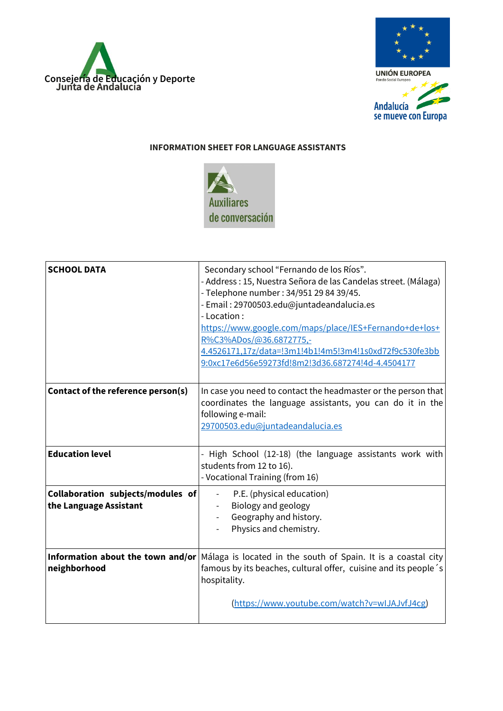



## **INFORMATION SHEET FOR LANGUAGE ASSISTANTS**



| <b>SCHOOL DATA</b>                                          | Secondary school "Fernando de los Ríos".<br>- Address : 15, Nuestra Señora de las Candelas street. (Málaga)<br>- Telephone number: 34/951 29 84 39/45.<br>- Email: 29700503.edu@juntadeandalucia.es<br>- Location:<br>https://www.google.com/maps/place/IES+Fernando+de+los+<br>R%C3%ADos/@36.6872775,-<br>4.4526171,17z/data=!3m1!4b1!4m5!3m4!1s0xd72f9c530fe3bb<br>9:0xc17e6d56e59273fd!8m2!3d36.687274!4d-4.4504177 |
|-------------------------------------------------------------|------------------------------------------------------------------------------------------------------------------------------------------------------------------------------------------------------------------------------------------------------------------------------------------------------------------------------------------------------------------------------------------------------------------------|
| Contact of the reference person(s)                          | In case you need to contact the headmaster or the person that<br>coordinates the language assistants, you can do it in the<br>following e-mail:<br>29700503.edu@juntadeandalucia.es                                                                                                                                                                                                                                    |
| <b>Education level</b>                                      | High School (12-18) (the language assistants work with<br>students from 12 to 16).<br>- Vocational Training (from 16)                                                                                                                                                                                                                                                                                                  |
| Collaboration subjects/modules of<br>the Language Assistant | P.E. (physical education)<br>Biology and geology<br>Geography and history.<br>Physics and chemistry.                                                                                                                                                                                                                                                                                                                   |
| Information about the town and/or<br>neighborhood           | Málaga is located in the south of Spain. It is a coastal city<br>famous by its beaches, cultural offer, cuisine and its people's<br>hospitality.                                                                                                                                                                                                                                                                       |
|                                                             | (https://www.youtube.com/watch?v=wIJAJvfJ4cg)                                                                                                                                                                                                                                                                                                                                                                          |